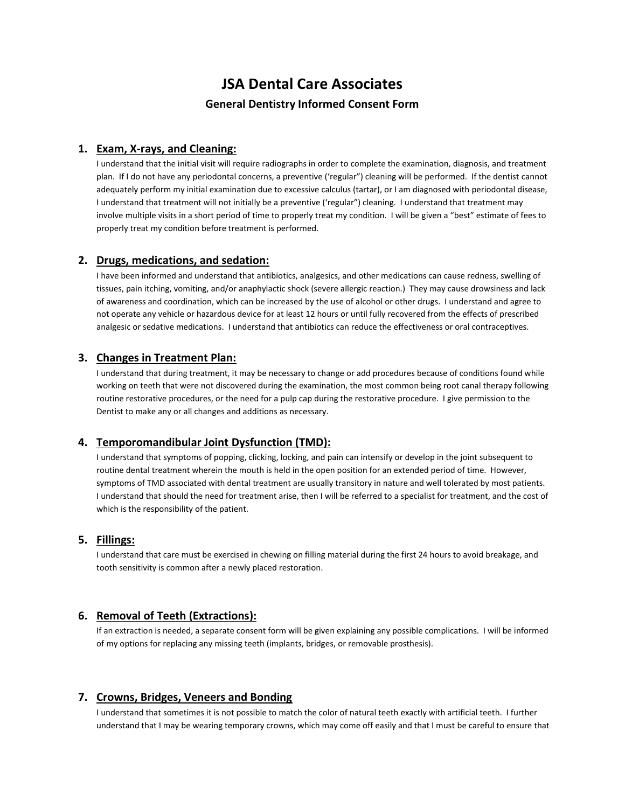# **JSA Dental Care Associates General Dentistry Informed Consent Form**

## **1. Exam, X-rays, and Cleaning:**

I understand that the initial visit will require radiographs in order to complete the examination, diagnosis, and treatment plan. If I do not have any periodontal concerns, a preventive ('regular") cleaning will be performed. If the dentist cannot adequately perform my initial examination due to excessive calculus (tartar), or I am diagnosed with periodontal disease, I understand that treatment will not initially be a preventive ('regular") cleaning. I understand that treatment may involve multiple visits in a short period of time to properly treat my condition. I will be given a "best" estimate of fees to properly treat my condition before treatment is performed.

#### **2. Drugs, medications, and sedation:**

I have been informed and understand that antibiotics, analgesics, and other medications can cause redness, swelling of tissues, pain itching, vomiting, and/or anaphylactic shock (severe allergic reaction.) They may cause drowsiness and lack of awareness and coordination, which can be increased by the use of alcohol or other drugs. I understand and agree to not operate any vehicle or hazardous device for at least 12 hours or until fully recovered from the effects of prescribed analgesic or sedative medications. I understand that antibiotics can reduce the effectiveness or oral contraceptives.

#### **3. Changes in Treatment Plan:**

I understand that during treatment, it may be necessary to change or add procedures because of conditions found while working on teeth that were not discovered during the examination, the most common being root canal therapy following routine restorative procedures, or the need for a pulp cap during the restorative procedure. I give permission to the Dentist to make any or all changes and additions as necessary.

#### **4. Temporomandibular Joint Dysfunction (TMD):**

I understand that symptoms of popping, clicking, locking, and pain can intensify or develop in the joint subsequent to routine dental treatment wherein the mouth is held in the open position for an extended period of time. However, symptoms of TMD associated with dental treatment are usually transitory in nature and well tolerated by most patients. I understand that should the need for treatment arise, then I will be referred to a specialist for treatment, and the cost of which is the responsibility of the patient.

#### **5. Fillings:**

I understand that care must be exercised in chewing on filling material during the first 24 hours to avoid breakage, and tooth sensitivity is common after a newly placed restoration.

#### **6. Removal of Teeth (Extractions):**

If an extraction is needed, a separate consent form will be given explaining any possible complications. I will be informed of my options for replacing any missing teeth (implants, bridges, or removable prosthesis).

#### **7. Crowns, Bridges, Veneers and Bonding**

I understand that sometimes it is not possible to match the color of natural teeth exactly with artificial teeth. I further understand that I may be wearing temporary crowns, which may come off easily and that I must be careful to ensure that